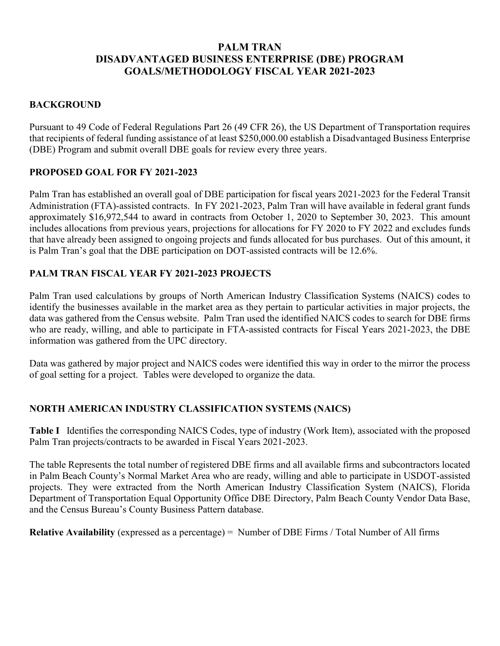# **PALM TRAN DISADVANTAGED BUSINESS ENTERPRISE (DBE) PROGRAM GOALS/METHODOLOGY FISCAL YEAR 2021-2023**

### **BACKGROUND**

Pursuant to 49 Code of Federal Regulations Part 26 (49 CFR 26), the US Department of Transportation requires that recipients of federal funding assistance of at least \$250,000.00 establish a Disadvantaged Business Enterprise (DBE) Program and submit overall DBE goals for review every three years.

### **PROPOSED GOAL FOR FY 2021-2023**

Palm Tran has established an overall goal of DBE participation for fiscal years 2021-2023 for the Federal Transit Administration (FTA)-assisted contracts. In FY 2021-2023, Palm Tran will have available in federal grant funds approximately \$16,972,544 to award in contracts from October 1, 2020 to September 30, 2023. This amount includes allocations from previous years, projections for allocations for FY 2020 to FY 2022 and excludes funds that have already been assigned to ongoing projects and funds allocated for bus purchases. Out of this amount, it is Palm Tran's goal that the DBE participation on DOT-assisted contracts will be 12.6%.

### **PALM TRAN FISCAL YEAR FY 2021-2023 PROJECTS**

Palm Tran used calculations by groups of North American Industry Classification Systems (NAICS) codes to identify the businesses available in the market area as they pertain to particular activities in major projects, the data was gathered from the Census website. Palm Tran used the identified NAICS codes to search for DBE firms who are ready, willing, and able to participate in FTA-assisted contracts for Fiscal Years 2021-2023, the DBE information was gathered from the UPC directory.

Data was gathered by major project and NAICS codes were identified this way in order to the mirror the process of goal setting for a project. Tables were developed to organize the data.

# **NORTH AMERICAN INDUSTRY CLASSIFICATION SYSTEMS (NAICS)**

**Table I** Identifies the corresponding NAICS Codes, type of industry (Work Item), associated with the proposed Palm Tran projects/contracts to be awarded in Fiscal Years 2021-2023.

The table Represents the total number of registered DBE firms and all available firms and subcontractors located in Palm Beach County's Normal Market Area who are ready, willing and able to participate in USDOT-assisted projects. They were extracted from the North American Industry Classification System (NAICS), Florida Department of Transportation Equal Opportunity Office DBE Directory, Palm Beach County Vendor Data Base, and the Census Bureau's County Business Pattern database.

**Relative Availability** (expressed as a percentage) = Number of DBE Firms / Total Number of All firms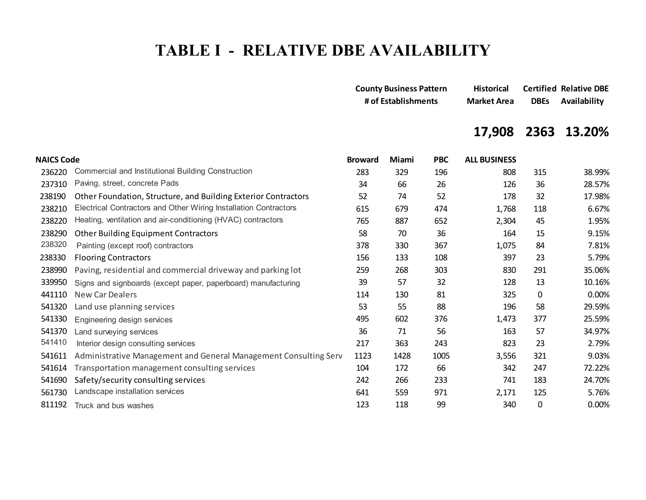# **TABLE I - RELATIVE DBE AVAILABILITY**

| <b>County Business Pattern</b> | <b>Historical</b>  |             | <b>Certified Relative DBE</b> |
|--------------------------------|--------------------|-------------|-------------------------------|
| # of Establishments            | <b>Market Area</b> | <b>DBEs</b> | Availability                  |

# **17,908 2363 13.20%**

| <b>NAICS Code</b> |                                                                  | <b>Broward</b> | Miami | <b>PBC</b> | <b>ALL BUSINESS</b> |     |        |
|-------------------|------------------------------------------------------------------|----------------|-------|------------|---------------------|-----|--------|
| 236220            | Commercial and Institutional Building Construction               | 283            | 329   | 196        | 808                 | 315 | 38.99% |
| 237310            | Paving, street, concrete Pads                                    | 34             | 66    | 26         | 126                 | 36  | 28.57% |
| 238190            | Other Foundation, Structure, and Building Exterior Contractors   | 52             | 74    | 52         | 178                 | 32  | 17.98% |
| 238210            | Electrical Contractors and Other Wiring Installation Contractors | 615            | 679   | 474        | 1,768               | 118 | 6.67%  |
| 238220            | Heating, ventilation and air-conditioning (HVAC) contractors     | 765            | 887   | 652        | 2,304               | 45  | 1.95%  |
| 238290            | <b>Other Building Equipment Contractors</b>                      | 58             | 70    | 36         | 164                 | 15  | 9.15%  |
| 238320            | Painting (except roof) contractors                               | 378            | 330   | 367        | 1,075               | 84  | 7.81%  |
| 238330            | <b>Flooring Contractors</b>                                      | 156            | 133   | 108        | 397                 | 23  | 5.79%  |
| 238990            | Paving, residential and commercial driveway and parking lot      | 259            | 268   | 303        | 830                 | 291 | 35.06% |
| 339950            | Signs and signboards (except paper, paperboard) manufacturing    | 39             | 57    | 32         | 128                 | 13  | 10.16% |
| 441110            | <b>New Car Dealers</b>                                           | 114            | 130   | 81         | 325                 | 0   | 0.00%  |
| 541320            | Land use planning services                                       | 53             | 55    | 88         | 196                 | 58  | 29.59% |
| 541330            | Engineering design services                                      | 495            | 602   | 376        | 1,473               | 377 | 25.59% |
| 541370            | Land surveying services                                          | 36             | 71    | 56         | 163                 | 57  | 34.97% |
| 541410            | Interior design consulting services                              | 217            | 363   | 243        | 823                 | 23  | 2.79%  |
| 541611            | Administrative Management and General Management Consulting Serv | 1123           | 1428  | 1005       | 3,556               | 321 | 9.03%  |
| 541614            | Transportation management consulting services                    | 104            | 172   | 66         | 342                 | 247 | 72.22% |
| 541690            | Safety/security consulting services                              | 242            | 266   | 233        | 741                 | 183 | 24.70% |
| 561730            | Landscape installation services                                  | 641            | 559   | 971        | 2,171               | 125 | 5.76%  |
| 811192            | Truck and bus washes                                             | 123            | 118   | 99         | 340                 | 0   | 0.00%  |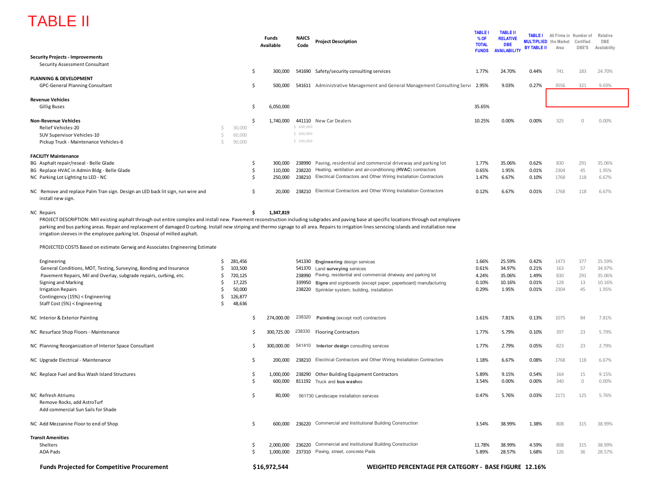# TABLE II

|                                                                                                                                                                                                                                                                                                                                                                                                                                                                                                                                                                                          |                                                                              | Funds<br>Available | <b>NAICS</b><br>Code | <b>Project Description</b>                                                     | <b>TABLE</b><br>% OF<br><b>TOTAL</b><br><b>FUNDS</b> | <b>TABLE II</b><br><b>RELATIVE</b><br><b>DBE</b><br><b>AVAILABILITY</b> | <b>TABLE I</b><br><b>BY TABLE II</b> | All Firms in Number of<br><b>MULTIPLIED</b> the Market<br>Area | Certified<br>DBE'S | Relative<br>DBE<br>Availability |
|------------------------------------------------------------------------------------------------------------------------------------------------------------------------------------------------------------------------------------------------------------------------------------------------------------------------------------------------------------------------------------------------------------------------------------------------------------------------------------------------------------------------------------------------------------------------------------------|------------------------------------------------------------------------------|--------------------|----------------------|--------------------------------------------------------------------------------|------------------------------------------------------|-------------------------------------------------------------------------|--------------------------------------|----------------------------------------------------------------|--------------------|---------------------------------|
| <b>Security Projects - Improvements</b>                                                                                                                                                                                                                                                                                                                                                                                                                                                                                                                                                  |                                                                              |                    |                      |                                                                                |                                                      |                                                                         |                                      |                                                                |                    |                                 |
| Security Assessment Consultant                                                                                                                                                                                                                                                                                                                                                                                                                                                                                                                                                           |                                                                              | \$                 |                      |                                                                                | 1.77%                                                | 24.70%                                                                  | 0.44%                                | 741                                                            | 183                | 24.70%                          |
| PLANNING & DEVELOPMENT                                                                                                                                                                                                                                                                                                                                                                                                                                                                                                                                                                   |                                                                              | 300,000            |                      | 541690 Safety/security consulting services                                     |                                                      |                                                                         |                                      |                                                                |                    |                                 |
| <b>GPC-General Planning Consultant</b>                                                                                                                                                                                                                                                                                                                                                                                                                                                                                                                                                   |                                                                              | \$<br>500,000      |                      | 541611 Administrative Management and General Management Consulting Servi 2.95% |                                                      | 9.03%                                                                   | 0.27%                                | 3556                                                           | 321                | 9.03%                           |
| <b>Revenue Vehicles</b>                                                                                                                                                                                                                                                                                                                                                                                                                                                                                                                                                                  |                                                                              |                    |                      |                                                                                |                                                      |                                                                         |                                      |                                                                |                    |                                 |
| <b>Gillig Buses</b>                                                                                                                                                                                                                                                                                                                                                                                                                                                                                                                                                                      |                                                                              | Ś.<br>6,050,000    |                      |                                                                                | 35.65%                                               |                                                                         |                                      |                                                                |                    |                                 |
| <b>Non-Revenue Vehicles</b>                                                                                                                                                                                                                                                                                                                                                                                                                                                                                                                                                              |                                                                              | \$<br>1,740,000    |                      | 441110 New Car Dealers                                                         | 10.25%                                               | 0.00%                                                                   | 0.00%                                | 325                                                            | $\Omega$           | 0.00%                           |
| Relief Vehicles-20                                                                                                                                                                                                                                                                                                                                                                                                                                                                                                                                                                       | Ś<br>30,000                                                                  |                    | \$600,000            |                                                                                |                                                      |                                                                         |                                      |                                                                |                    |                                 |
| SUV Supervisor Vehicles-10                                                                                                                                                                                                                                                                                                                                                                                                                                                                                                                                                               | \$<br>60,000                                                                 |                    | \$600,000            |                                                                                |                                                      |                                                                         |                                      |                                                                |                    |                                 |
| Pickup Truck - Maintenance Vehicles-6                                                                                                                                                                                                                                                                                                                                                                                                                                                                                                                                                    | Ś<br>90,000                                                                  |                    | \$540,000            |                                                                                |                                                      |                                                                         |                                      |                                                                |                    |                                 |
| <b>FACILITY Maintenance</b>                                                                                                                                                                                                                                                                                                                                                                                                                                                                                                                                                              |                                                                              |                    |                      |                                                                                |                                                      |                                                                         |                                      |                                                                |                    |                                 |
| BG Asphalt repair/reseal - Belle Glade                                                                                                                                                                                                                                                                                                                                                                                                                                                                                                                                                   |                                                                              | \$<br>300,000      | 238990               | Paving, residential and commercial driveway and parking lot                    | 1.77%                                                | 35.06%                                                                  | 0.62%                                | 830                                                            | 291                | 35.06%                          |
| BG Replace HVAC in Admin Bldg - Belle Glade                                                                                                                                                                                                                                                                                                                                                                                                                                                                                                                                              |                                                                              | \$<br>110,000      | 238220               | Heating, ventilation and air-conditioning (HVAC) contractors                   | 0.65%                                                | 1.95%                                                                   | 0.01%                                | 2304                                                           | 45                 | 1.95%                           |
| NC Parking Lot Lighting to LED - NC                                                                                                                                                                                                                                                                                                                                                                                                                                                                                                                                                      |                                                                              | \$<br>250,000      | 238210               | Electrical Contractors and Other Wiring Installation Contractors               | 1.47%                                                | 6.67%                                                                   | 0.10%                                | 1768                                                           | 118                | 6.67%                           |
| NC Remove and replace Palm Tran sign. Design an LED back lit sign, run wire and<br>install new sign.                                                                                                                                                                                                                                                                                                                                                                                                                                                                                     |                                                                              | \$<br>20,000       |                      | 238210 Electrical Contractors and Other Wiring Installation Contractors        | 0.12%                                                | 6.67%                                                                   | 0.01%                                | 1768                                                           | 118                | 6.67%                           |
| <b>NC</b> Repairs<br>PROJECT DESCRIPTION: Mill existing asphalt through out entire complex and install new. Pavement reconstruction including subgrades and paving base at specific locations through out employee<br>parking and bus parking areas. Repair and replacement of damaged D curbing. Install new striping and thermo signage to all area. Repairs to irrigation lines servicing islands and installation new<br>irrigation sleeves in the employee parking lot. Disposal of milled asphalt.<br>PROJECTED COSTS Based on estimate Gerwig and Associates Engineering Estimate |                                                                              | \$<br>1,347,819    |                      |                                                                                |                                                      |                                                                         |                                      |                                                                |                    |                                 |
| Engineering                                                                                                                                                                                                                                                                                                                                                                                                                                                                                                                                                                              | \$<br>281,456                                                                |                    |                      | 541330 Engineering design services                                             | 1.66%                                                | 25.59%                                                                  | 0.42%                                | 1473                                                           | 377                | 25.59%                          |
| General Conditions, MOT, Testing, Surveying, Bonding and Insurance                                                                                                                                                                                                                                                                                                                                                                                                                                                                                                                       | Ŝ<br>103,500                                                                 |                    | 541370               | Land surveying services                                                        | 0.61%                                                | 34.97%                                                                  | 0.21%                                | 163                                                            | 57                 | 34.97%                          |
| Pavement Repairs, Mil and Overlay, subgrade repairs, curbing, etc.                                                                                                                                                                                                                                                                                                                                                                                                                                                                                                                       | \$<br>720,125                                                                |                    | 238990               | Paving, residential and commercial driveway and parking lot                    | 4.24%                                                | 35.06%                                                                  | 1.49%                                | 830                                                            | 291                | 35.06%                          |
| Signing and Marking                                                                                                                                                                                                                                                                                                                                                                                                                                                                                                                                                                      | 17,225<br>Ŝ.                                                                 |                    |                      | 339950 Signs and signboards (except paper, paperboard) manufacturing           | 0.10%                                                | 10.16%                                                                  | 0.01%                                | 128                                                            | 13                 | 10.16%                          |
| <b>Irrigation Repairs</b>                                                                                                                                                                                                                                                                                                                                                                                                                                                                                                                                                                | Ŝ.<br>50,000                                                                 |                    |                      | 238220 Sprinkler system, building, installation                                | 0.29%                                                | 1.95%                                                                   | 0.01%                                | 2304                                                           | 45                 | 1.95%                           |
| Contingency (15%) < Engineering                                                                                                                                                                                                                                                                                                                                                                                                                                                                                                                                                          | \$<br>126,877                                                                |                    |                      |                                                                                |                                                      |                                                                         |                                      |                                                                |                    |                                 |
| Staff Cost (5%) < Engineering                                                                                                                                                                                                                                                                                                                                                                                                                                                                                                                                                            | Ŝ<br>48,636                                                                  |                    |                      |                                                                                |                                                      |                                                                         |                                      |                                                                |                    |                                 |
| NC Interior & Exterior Painting                                                                                                                                                                                                                                                                                                                                                                                                                                                                                                                                                          |                                                                              | S<br>274,000.00    | 238320               | Painting (except roof) contractors                                             | 1.61%                                                | 7.81%                                                                   | 0.13%                                | 1075                                                           | 84                 | 7.81%                           |
| NC Resurface Shop Floors - Maintenance                                                                                                                                                                                                                                                                                                                                                                                                                                                                                                                                                   |                                                                              | 300,725.00<br>S    | 238330               | <b>Flooring Contractors</b>                                                    | 1.77%                                                | 5.79%                                                                   | 0.10%                                | 397                                                            | 23                 | 5.79%                           |
| NC Planning Reorganization of Interior Space Consultant                                                                                                                                                                                                                                                                                                                                                                                                                                                                                                                                  |                                                                              | 300,000.00<br>S    |                      | 541410 Interior design consulting services                                     | 1.77%                                                | 2.79%                                                                   | 0.05%                                | 823                                                            | 23                 | 2.79%                           |
|                                                                                                                                                                                                                                                                                                                                                                                                                                                                                                                                                                                          |                                                                              |                    |                      |                                                                                |                                                      |                                                                         |                                      |                                                                |                    |                                 |
| NC Upgrade Electrical - Maintenance                                                                                                                                                                                                                                                                                                                                                                                                                                                                                                                                                      |                                                                              | \$<br>200,000      |                      | 238210 Electrical Contractors and Other Wiring Installation Contractors        | 1.18%                                                | 6.67%                                                                   | 0.08%                                | 1768                                                           | 118                | 6.67%                           |
| NC Replace Fuel and Bus Wash Island Structures                                                                                                                                                                                                                                                                                                                                                                                                                                                                                                                                           |                                                                              | \$<br>1,000,000    |                      | 238290 Other Building Equipment Contractors                                    | 5.89%                                                | 9.15%                                                                   | 0.54%                                | 164                                                            | 15                 | 9.15%                           |
|                                                                                                                                                                                                                                                                                                                                                                                                                                                                                                                                                                                          |                                                                              | Ś<br>600,000       |                      | 811192 Truck and bus washes                                                    | 3.54%                                                | 0.00%                                                                   | 0.00%                                | 340                                                            | $\mathbf 0$        | 0.00%                           |
| NC Refresh Atriums<br>Remove Rocks, add AstroTurf<br>Add commercial Sun Sails for Shade                                                                                                                                                                                                                                                                                                                                                                                                                                                                                                  |                                                                              | \$.<br>80,000      |                      | 561730 Landscape installation services                                         | 0.47%                                                | 5.76%                                                                   | 0.03%                                | 2171                                                           | 125                | 5.76%                           |
| NC Add Mezzanine Floor to end of Shop                                                                                                                                                                                                                                                                                                                                                                                                                                                                                                                                                    |                                                                              | \$<br>600,000      |                      | 236220 Commercial and Institutional Building Construction                      | 3.54%                                                | 38.99%                                                                  | 1.38%                                | 808                                                            | 315                | 38.99%                          |
| <b>Transit Amenities</b>                                                                                                                                                                                                                                                                                                                                                                                                                                                                                                                                                                 |                                                                              |                    |                      |                                                                                |                                                      |                                                                         |                                      |                                                                |                    |                                 |
| Shelters                                                                                                                                                                                                                                                                                                                                                                                                                                                                                                                                                                                 |                                                                              | 2,000,000<br>\$    |                      | 236220 Commercial and Institutional Building Construction                      | 11.78%                                               | 38.99%                                                                  | 4.59%                                | 808                                                            | 315                | 38.99%                          |
| <b>ADA Pads</b>                                                                                                                                                                                                                                                                                                                                                                                                                                                                                                                                                                          |                                                                              | Ś.<br>1,000,000    |                      | 237310 Paving, street, concrete Pads                                           | 5.89%                                                | 28.57%                                                                  | 1.68%                                | 126                                                            | 36                 | 28.57%                          |
| <b>Funds Projected for Competitive Procurement</b>                                                                                                                                                                                                                                                                                                                                                                                                                                                                                                                                       | \$16,972,544<br><b>WEIGHTED PERCENTAGE PER CATEGORY - BASE FIGURE 12.16%</b> |                    |                      |                                                                                |                                                      |                                                                         |                                      |                                                                |                    |                                 |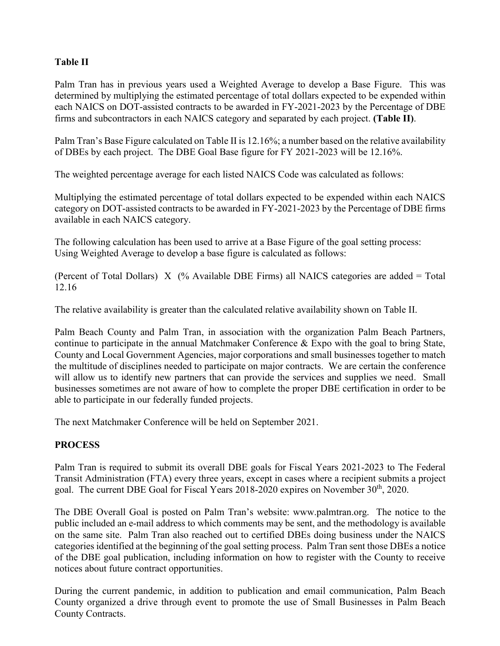### **Table II**

Palm Tran has in previous years used a Weighted Average to develop a Base Figure. This was determined by multiplying the estimated percentage of total dollars expected to be expended within each NAICS on DOT-assisted contracts to be awarded in FY-2021-2023 by the Percentage of DBE firms and subcontractors in each NAICS category and separated by each project. **(Table II)**.

Palm Tran's Base Figure calculated on Table II is 12.16%; a number based on the relative availability of DBEs by each project. The DBE Goal Base figure for FY 2021-2023 will be 12.16%.

The weighted percentage average for each listed NAICS Code was calculated as follows:

Multiplying the estimated percentage of total dollars expected to be expended within each NAICS category on DOT-assisted contracts to be awarded in FY-2021-2023 by the Percentage of DBE firms available in each NAICS category.

The following calculation has been used to arrive at a Base Figure of the goal setting process: Using Weighted Average to develop a base figure is calculated as follows:

(Percent of Total Dollars) X (% Available DBE Firms) all NAICS categories are added = Total 12.16

The relative availability is greater than the calculated relative availability shown on Table II.

Palm Beach County and Palm Tran, in association with the organization Palm Beach Partners, continue to participate in the annual Matchmaker Conference & Expo with the goal to bring State, County and Local Government Agencies, major corporations and small businesses together to match the multitude of disciplines needed to participate on major contracts. We are certain the conference will allow us to identify new partners that can provide the services and supplies we need. Small businesses sometimes are not aware of how to complete the proper DBE certification in order to be able to participate in our federally funded projects.

The next Matchmaker Conference will be held on September 2021.

# **PROCESS**

Palm Tran is required to submit its overall DBE goals for Fiscal Years 2021-2023 to The Federal Transit Administration (FTA) every three years, except in cases where a recipient submits a project goal. The current DBE Goal for Fiscal Years 2018-2020 expires on November 30<sup>th</sup>, 2020.

The DBE Overall Goal is posted on Palm Tran's website: www.palmtran.org. The notice to the public included an e-mail address to which comments may be sent, and the methodology is available on the same site. Palm Tran also reached out to certified DBEs doing business under the NAICS categories identified at the beginning of the goal setting process. Palm Tran sent those DBEs a notice of the DBE goal publication, including information on how to register with the County to receive notices about future contract opportunities.

During the current pandemic, in addition to publication and email communication, Palm Beach County organized a drive through event to promote the use of Small Businesses in Palm Beach County Contracts.